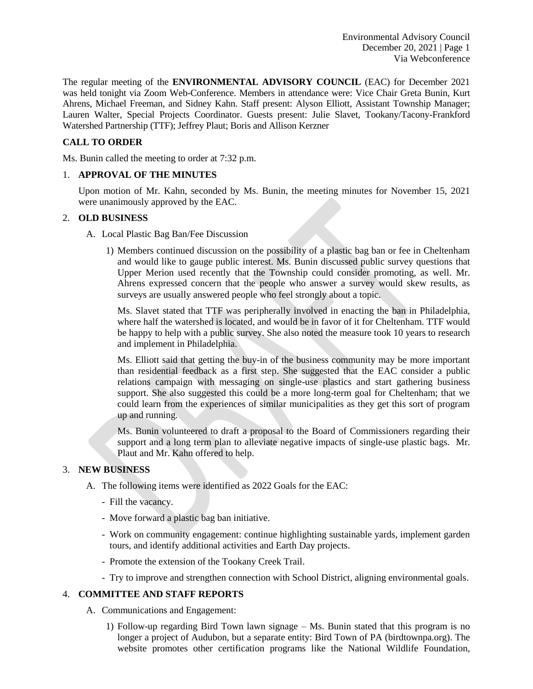The regular meeting of the **ENVIRONMENTAL ADVISORY COUNCIL** (EAC) for December 2021 was held tonight via Zoom Web-Conference. Members in attendance were: Vice Chair Greta Bunin, Kurt Ahrens, Michael Freeman, and Sidney Kahn. Staff present: Alyson Elliott, Assistant Township Manager; Lauren Walter, Special Projects Coordinator. Guests present: Julie Slavet, Tookany/Tacony-Frankford Watershed Partnership (TTF); Jeffrey Plaut; Boris and Allison Kerzner

# **CALL TO ORDER**

Ms. Bunin called the meeting to order at 7:32 p.m.

## 1. **APPROVAL OF THE MINUTES**

Upon motion of Mr. Kahn, seconded by Ms. Bunin, the meeting minutes for November 15, 2021 were unanimously approved by the EAC.

## 2. **OLD BUSINESS**

- A. Local Plastic Bag Ban/Fee Discussion
	- 1) Members continued discussion on the possibility of a plastic bag ban or fee in Cheltenham and would like to gauge public interest. Ms. Bunin discussed public survey questions that Upper Merion used recently that the Township could consider promoting, as well. Mr. Ahrens expressed concern that the people who answer a survey would skew results, as surveys are usually answered people who feel strongly about a topic.

Ms. Slavet stated that TTF was peripherally involved in enacting the ban in Philadelphia, where half the watershed is located, and would be in favor of it for Cheltenham. TTF would be happy to help with a public survey. She also noted the measure took 10 years to research and implement in Philadelphia.

Ms. Elliott said that getting the buy-in of the business community may be more important than residential feedback as a first step. She suggested that the EAC consider a public relations campaign with messaging on single-use plastics and start gathering business support. She also suggested this could be a more long-term goal for Cheltenham; that we could learn from the experiences of similar municipalities as they get this sort of program up and running.

Ms. Bunin volunteered to draft a proposal to the Board of Commissioners regarding their support and a long term plan to alleviate negative impacts of single-use plastic bags. Mr. Plaut and Mr. Kahn offered to help.

### 3. **NEW BUSINESS**

- A. The following items were identified as 2022 Goals for the EAC:
	- Fill the vacancy.
	- Move forward a plastic bag ban initiative.
	- Work on community engagement: continue highlighting sustainable yards, implement garden tours, and identify additional activities and Earth Day projects.
	- Promote the extension of the Tookany Creek Trail.
	- Try to improve and strengthen connection with School District, aligning environmental goals.

### 4. **COMMITTEE AND STAFF REPORTS**

- A. Communications and Engagement:
	- 1) Follow-up regarding Bird Town lawn signage Ms. Bunin stated that this program is no longer a project of Audubon, but a separate entity: Bird Town of PA (birdtownpa.org). The website promotes other certification programs like the National Wildlife Foundation,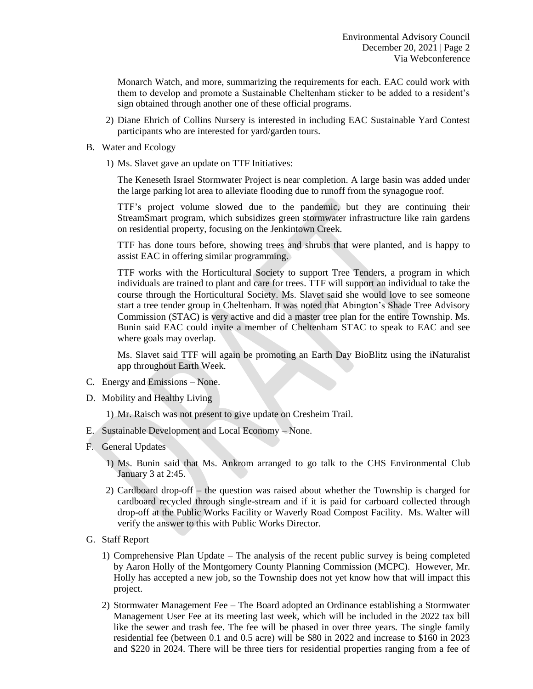Monarch Watch, and more, summarizing the requirements for each. EAC could work with them to develop and promote a Sustainable Cheltenham sticker to be added to a resident's sign obtained through another one of these official programs.

- 2) Diane Ehrich of Collins Nursery is interested in including EAC Sustainable Yard Contest participants who are interested for yard/garden tours.
- B. Water and Ecology
	- 1) Ms. Slavet gave an update on TTF Initiatives:

The Keneseth Israel Stormwater Project is near completion. A large basin was added under the large parking lot area to alleviate flooding due to runoff from the synagogue roof.

TTF's project volume slowed due to the pandemic, but they are continuing their StreamSmart program, which subsidizes green stormwater infrastructure like rain gardens on residential property, focusing on the Jenkintown Creek.

TTF has done tours before, showing trees and shrubs that were planted, and is happy to assist EAC in offering similar programming.

TTF works with the Horticultural Society to support Tree Tenders, a program in which individuals are trained to plant and care for trees. TTF will support an individual to take the course through the Horticultural Society. Ms. Slavet said she would love to see someone start a tree tender group in Cheltenham. It was noted that Abington's Shade Tree Advisory Commission (STAC) is very active and did a master tree plan for the entire Township. Ms. Bunin said EAC could invite a member of Cheltenham STAC to speak to EAC and see where goals may overlap.

Ms. Slavet said TTF will again be promoting an Earth Day BioBlitz using the iNaturalist app throughout Earth Week.

- C. Energy and Emissions None.
- D. Mobility and Healthy Living
	- 1) Mr. Raisch was not present to give update on Cresheim Trail.
- E. Sustainable Development and Local Economy None.
- F. General Updates
	- 1) Ms. Bunin said that Ms. Ankrom arranged to go talk to the CHS Environmental Club January 3 at 2:45.
	- 2) Cardboard drop-off the question was raised about whether the Township is charged for cardboard recycled through single-stream and if it is paid for carboard collected through drop-off at the Public Works Facility or Waverly Road Compost Facility. Ms. Walter will verify the answer to this with Public Works Director.
- G. Staff Report
	- 1) Comprehensive Plan Update The analysis of the recent public survey is being completed by Aaron Holly of the Montgomery County Planning Commission (MCPC). However, Mr. Holly has accepted a new job, so the Township does not yet know how that will impact this project.
	- 2) Stormwater Management Fee The Board adopted an Ordinance establishing a Stormwater Management User Fee at its meeting last week, which will be included in the 2022 tax bill like the sewer and trash fee. The fee will be phased in over three years. The single family residential fee (between 0.1 and 0.5 acre) will be \$80 in 2022 and increase to \$160 in 2023 and \$220 in 2024. There will be three tiers for residential properties ranging from a fee of